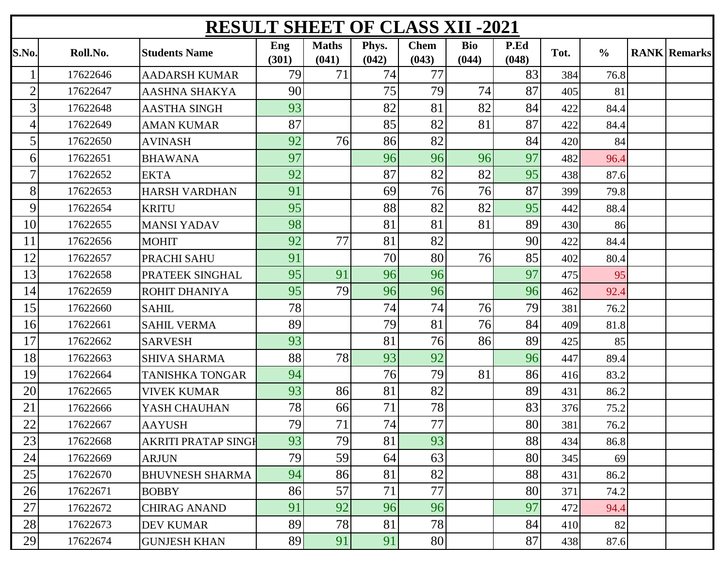| <b>RESULT SHEET OF CLASS XII -2021</b> |          |                            |              |                       |                |                      |                     |               |      |               |  |                     |
|----------------------------------------|----------|----------------------------|--------------|-----------------------|----------------|----------------------|---------------------|---------------|------|---------------|--|---------------------|
| S.No.                                  | Roll.No. | <b>Students Name</b>       | Eng<br>(301) | <b>Maths</b><br>(041) | Phys.<br>(042) | <b>Chem</b><br>(043) | <b>Bio</b><br>(044) | P.Ed<br>(048) | Tot. | $\frac{6}{6}$ |  | <b>RANK Remarks</b> |
|                                        | 17622646 | <b>AADARSH KUMAR</b>       | 79           | 71                    | 74             | 77                   |                     | 83            | 384  | 76.8          |  |                     |
| $\overline{2}$                         | 17622647 | <b>AASHNA SHAKYA</b>       | 90           |                       | 75             | 79                   | 74                  | 87            | 405  | 81            |  |                     |
| 3 <sub>1</sub>                         | 17622648 | <b>AASTHA SINGH</b>        | 93           |                       | 82             | 81                   | 82                  | 84            | 422  | 84.4          |  |                     |
| $\left 4\right $                       | 17622649 | <b>AMAN KUMAR</b>          | 87           |                       | 85             | 82                   | 81                  | 87            | 422  | 84.4          |  |                     |
| 5                                      | 17622650 | <b>AVINASH</b>             | 92           | 76                    | 86             | 82                   |                     | 84            | 420  | 84            |  |                     |
| 6                                      | 17622651 | <b>BHAWANA</b>             | 97           |                       | 96             | 96                   | 96                  | 97            | 482  | 96.4          |  |                     |
| $\overline{7}$                         | 17622652 | <b>EKTA</b>                | 92           |                       | 87             | 82                   | 82                  | 95            | 438  | 87.6          |  |                     |
| 8                                      | 17622653 | <b>HARSH VARDHAN</b>       | 91           |                       | 69             | 76                   | 76                  | 87            | 399  | 79.8          |  |                     |
| 9                                      | 17622654 | <b>KRITU</b>               | 95           |                       | 88             | 82                   | 82                  | 95            | 442  | 88.4          |  |                     |
| 10                                     | 17622655 | <b>MANSI YADAV</b>         | 98           |                       | 81             | 81                   | 81                  | 89            | 430  | 86            |  |                     |
| 11                                     | 17622656 | <b>MOHIT</b>               | 92           | 77                    | 81             | 82                   |                     | 90            | 422  | 84.4          |  |                     |
| 12                                     | 17622657 | PRACHI SAHU                | 91           |                       | 70             | 80                   | 76                  | 85            | 402  | 80.4          |  |                     |
| 13                                     | 17622658 | PRATEEK SINGHAL            | 95           | 91                    | 96             | 96                   |                     | 97            | 475  | 95            |  |                     |
| 14                                     | 17622659 | <b>ROHIT DHANIYA</b>       | 95           | 79                    | 96             | 96                   |                     | 96            | 462  | 92.4          |  |                     |
| 15                                     | 17622660 | <b>SAHIL</b>               | 78           |                       | 74             | 74                   | 76                  | 79            | 381  | 76.2          |  |                     |
| 16                                     | 17622661 | <b>SAHIL VERMA</b>         | 89           |                       | 79             | 81                   | 76                  | 84            | 409  | 81.8          |  |                     |
| 17                                     | 17622662 | <b>SARVESH</b>             | 93           |                       | 81             | 76                   | 86                  | 89            | 425  | 85            |  |                     |
| 18                                     | 17622663 | <b>SHIVA SHARMA</b>        | 88           | 78                    | 93             | 92                   |                     | 96            | 447  | 89.4          |  |                     |
| 19                                     | 17622664 | <b>TANISHKA TONGAR</b>     | 94           |                       | 76             | 79                   | 81                  | 86            | 416  | 83.2          |  |                     |
| 20                                     | 17622665 | <b>VIVEK KUMAR</b>         | 93           | 86                    | 81             | 82                   |                     | 89            | 431  | 86.2          |  |                     |
| 21                                     | 17622666 | YASH CHAUHAN               | 78           | 66                    | 71             | 78                   |                     | 83            | 376  | 75.2          |  |                     |
| 22                                     | 17622667 | <b>AAYUSH</b>              | 79           | 71                    | 74             | 77                   |                     | 80            | 381  | 76.2          |  |                     |
| 23                                     | 17622668 | <b>AKRITI PRATAP SINGH</b> | 93           | 79                    | 81             | 93                   |                     | 88            | 434  | 86.8          |  |                     |
| 24                                     | 17622669 | <b>ARJUN</b>               | 79           | 59                    | 64             | 63                   |                     | 80            | 345  | 69            |  |                     |
| 25                                     | 17622670 | <b>BHUVNESH SHARMA</b>     | 94           | 86                    | 81             | 82                   |                     | 88            | 431  | 86.2          |  |                     |
| 26                                     | 17622671 | <b>BOBBY</b>               | 86           | 57                    | 71             | 77                   |                     | 80            | 371  | 74.2          |  |                     |
| 27                                     | 17622672 | <b>CHIRAG ANAND</b>        | 91           | 92                    | 96             | 96                   |                     | 97            | 472  | 94.4          |  |                     |
| 28                                     | 17622673 | <b>DEV KUMAR</b>           | 89           | 78                    | 81             | 78                   |                     | 84            | 410  | 82            |  |                     |
| 29                                     | 17622674 | <b>GUNJESH KHAN</b>        | 89           | 91                    | 91             | 80                   |                     | 87            | 438  | 87.6          |  |                     |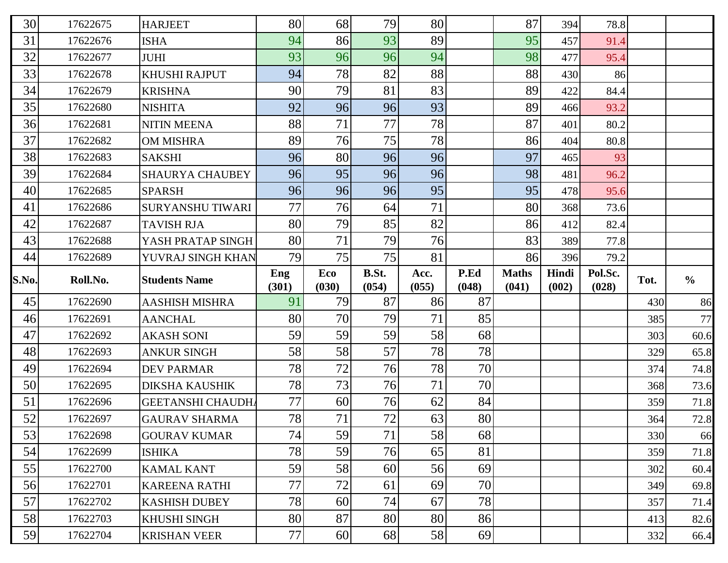| 30       | 17622675             | <b>HARJEET</b>                      | 80       | 68       | 79       | 80       |          | 87           | 394   | 78.8    |            |                      |
|----------|----------------------|-------------------------------------|----------|----------|----------|----------|----------|--------------|-------|---------|------------|----------------------|
| 31       | 17622676             | <b>ISHA</b>                         | 94       | 86       | 93       | 89       |          | 95           | 457   | 91.4    |            |                      |
| 32       | 17622677             | <b>JUHI</b>                         | 93       | 96       | 96       | 94       |          | 98           | 477   | 95.4    |            |                      |
| 33       | 17622678             | KHUSHI RAJPUT                       | 94       | 78       | 82       | 88       |          | 88           | 430   | 86      |            |                      |
| 34       | 17622679             | <b>KRISHNA</b>                      | 90       | 79       | 81       | 83       |          | 89           | 422   | 84.4    |            |                      |
| 35       | 17622680             | <b>NISHITA</b>                      | 92       | 96       | 96       | 93       |          | 89           | 466   | 93.2    |            |                      |
| 36       | 17622681             | <b>NITIN MEENA</b>                  | 88       | 71       | 77       | 78       |          | 87           | 401   | 80.2    |            |                      |
| 37       | 17622682             | <b>OM MISHRA</b>                    | 89       | 76       | 75       | 78       |          | 86           | 404   | 80.8    |            |                      |
| 38       | 17622683             | <b>SAKSHI</b>                       | 96       | 80       | 96       | 96       |          | 97           | 465   | 93      |            |                      |
| 39       | 17622684             | <b>SHAURYA CHAUBEY</b>              | 96       | 95       | 96       | 96       |          | 98           | 481   | 96.2    |            |                      |
| 40       | 17622685             | <b>SPARSH</b>                       | 96       | 96       | 96       | 95       |          | 95           | 478   | 95.6    |            |                      |
| 41       | 17622686             | <b>SURYANSHU TIWARI</b>             | 77       | 76       | 64       | 71       |          | 80           | 368   | 73.6    |            |                      |
| 42       | 17622687             | <b>TAVISH RJA</b>                   | 80       | 79       | 85       | 82       |          | 86           | 412   | 82.4    |            |                      |
| 43       | 17622688             | YASH PRATAP SINGH                   | 80       | 71       | 79       | 76       |          | 83           | 389   | 77.8    |            |                      |
| 44       | 17622689             | YUVRAJ SINGH KHAN                   | 79       | 75       | 75       | 81       |          | 86           | 396   | 79.2    |            |                      |
|          |                      |                                     | Eng      | Eco      | B.St.    | Acc.     | P.Ed     | <b>Maths</b> | Hindi | Pol.Sc. |            |                      |
| S.No.    | Roll.No.             | <b>Students Name</b>                |          |          |          |          |          |              |       |         | Tot.       | $\frac{6}{6}$        |
|          |                      |                                     | (301)    | (030)    | (054)    | (055)    | (048)    | (041)        | (002) | (028)   |            |                      |
| 45       | 17622690             | <b>AASHISH MISHRA</b>               | 91       | 79<br>70 | 87       | 86<br>71 | 87       |              |       |         | 430        | 86                   |
| 46       | 17622691<br>17622692 | <b>AANCHAL</b><br><b>AKASH SONI</b> | 80       |          | 79       | 58       | 85<br>68 |              |       |         | 385<br>303 | 77                   |
| 47<br>48 | 17622693             | <b>ANKUR SINGH</b>                  | 59<br>58 | 59<br>58 | 59<br>57 | 78       | 78       |              |       |         | 329        | 60.6                 |
| 49       | 17622694             | <b>DEV PARMAR</b>                   | 78       | 72       | 76       | 78       | 70       |              |       |         | 374        | 65.8<br>74.8         |
| 50       | 17622695             | <b>DIKSHA KAUSHIK</b>               | 78       | 73       | 76       | 71       | 70       |              |       |         | 368        | 73.6                 |
| 51       | 17622696             | <b>GEETANSHI CHAUDH</b>             | 77       | 60       | 76       | 62       | 84       |              |       |         | 359        | 71.8                 |
| 52       | 17622697             | <b>GAURAV SHARMA</b>                | 78       | 71       | 72       | 63       | 80       |              |       |         | 364        | 72.8                 |
| 53       | 17622698             | <b>GOURAV KUMAR</b>                 | 74       | 59       | 71       | 58       | 68       |              |       |         | 330        | 66                   |
| 54       | 17622699             | <b>ISHIKA</b>                       | 78       | 59       | 76       | 65       | 81       |              |       |         | 359        | 71.8                 |
| 55       | 17622700             | <b>KAMAL KANT</b>                   | 59       | 58       | 60       | 56       | 69       |              |       |         | 302        | 60.4                 |
| 56       | 17622701             | <b>KAREENA RATHI</b>                | 77       | 72       | 61       | 69       | 70       |              |       |         | 349        |                      |
| 57       | 17622702             | <b>KASHISH DUBEY</b>                | 78       | 60       | 74       | 67       | 78       |              |       |         | 357        |                      |
| 58       | 17622703             | KHUSHI SINGH                        | 80       | 87       | 80       | 80       | 86       |              |       |         | 413        | 69.8<br>71.4<br>82.6 |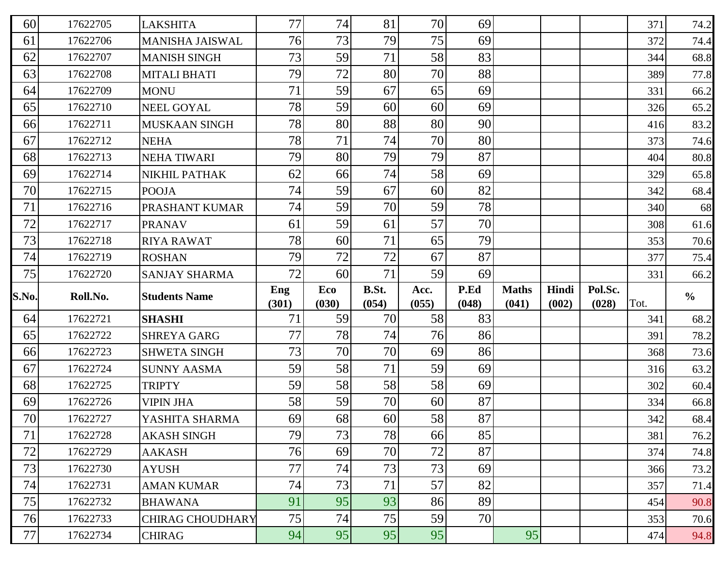| 60    | 17622705 | <b>LAKSHITA</b>         | 77           | 74              | 81             | 70            | 69            |                       |                |                  | 371  | 74.2          |
|-------|----------|-------------------------|--------------|-----------------|----------------|---------------|---------------|-----------------------|----------------|------------------|------|---------------|
| 61    | 17622706 | <b>MANISHA JAISWAL</b>  | 76           | 73              | 79             | 75            | 69            |                       |                |                  | 372  | 74.4          |
| 62    | 17622707 | <b>MANISH SINGH</b>     | 73           | 59              | 71             | 58            | 83            |                       |                |                  | 344  | 68.8          |
| 63    | 17622708 | <b>MITALI BHATI</b>     | 79           | 72              | 80             | 70            | 88            |                       |                |                  | 389  | 77.8          |
| 64    | 17622709 | <b>MONU</b>             | 71           | 59              | 67             | 65            | 69            |                       |                |                  | 331  | 66.2          |
| 65    | 17622710 | <b>NEEL GOYAL</b>       | 78           | 59              | 60             | 60            | 69            |                       |                |                  | 326  | 65.2          |
| 66    | 17622711 | <b>MUSKAAN SINGH</b>    | 78           | 80              | 88             | 80            | 90            |                       |                |                  | 416  | 83.2          |
| 67    | 17622712 | <b>NEHA</b>             | 78           | 71              | 74             | 70            | 80            |                       |                |                  | 373  | 74.6          |
| 68    | 17622713 | <b>NEHA TIWARI</b>      | 79           | 80              | 79             | 79            | 87            |                       |                |                  | 404  | 80.8          |
| 69    | 17622714 | NIKHIL PATHAK           | 62           | 66              | 74             | 58            | 69            |                       |                |                  | 329  | 65.8          |
| 70    | 17622715 | <b>POOJA</b>            | 74           | 59              | 67             | 60            | 82            |                       |                |                  | 342  | 68.4          |
| 71    | 17622716 | PRASHANT KUMAR          | 74           | 59              | 70             | 59            | 78            |                       |                |                  | 340  | 68            |
| 72    | 17622717 | <b>PRANAV</b>           | 61           | 59              | 61             | 57            | 70            |                       |                |                  | 308  | 61.6          |
| 73    | 17622718 | <b>RIYA RAWAT</b>       | 78           | 60              | 71             | 65            | 79            |                       |                |                  | 353  | 70.6          |
| 74    | 17622719 | <b>ROSHAN</b>           | 79           | 72              | 72             | 67            | 87            |                       |                |                  | 377  | 75.4          |
| 75    | 17622720 | <b>SANJAY SHARMA</b>    | 72           | 60 <sup>°</sup> | 71             | 59            | 69            |                       |                |                  | 331  | 66.2          |
|       |          |                         |              |                 |                |               |               |                       |                |                  |      |               |
| S.No. | Roll.No. | <b>Students Name</b>    | Eng<br>(301) | Eco<br>(030)    | B.St.<br>(054) | Acc.<br>(055) | P.Ed<br>(048) | <b>Maths</b><br>(041) | Hindi<br>(002) | Pol.Sc.<br>(028) | Tot. | $\frac{6}{6}$ |
| 64    | 17622721 | <b>SHASHI</b>           | 71           | 59              | 70             | 58            | 83            |                       |                |                  | 341  | 68.2          |
| 65    | 17622722 | <b>SHREYA GARG</b>      | 77           | 78              | 74             | 76            | 86            |                       |                |                  | 391  | 78.2          |
| 66    | 17622723 | <b>SHWETA SINGH</b>     | 73           | 70              | 70             | 69            | 86            |                       |                |                  | 368  | 73.6          |
| 67    | 17622724 | <b>SUNNY AASMA</b>      | 59           | 58              | 71             | 59            | 69            |                       |                |                  | 316  | 63.2          |
| 68    | 17622725 | <b>TRIPTY</b>           | 59           | 58              | 58             | 58            | 69            |                       |                |                  | 302  | 60.4          |
| 69    | 17622726 | <b>VIPIN JHA</b>        | 58           | 59              | 70             | 60            | 87            |                       |                |                  | 334  | 66.8          |
| 70    | 17622727 | YASHITA SHARMA          | 69           | 68              | 60             | 58            | 87            |                       |                |                  | 342  | 68.4          |
| 71    | 17622728 | <b>AKASH SINGH</b>      | 79           | 73              | 78             | 66            | 85            |                       |                |                  | 381  | 76.2          |
| 72    | 17622729 | <b>AAKASH</b>           | 76           | 69              | 70             | 72            | 87            |                       |                |                  | 374  | 74.8          |
| 73    | 17622730 | <b>AYUSH</b>            | 77           | 74              | 73             | 73            | 69            |                       |                |                  | 366  | 73.2          |
| 74    | 17622731 | <b>AMAN KUMAR</b>       | 74           | 73              | 71             | 57            | 82            |                       |                |                  | 357  | 71.4          |
| 75    | 17622732 | <b>BHAWANA</b>          | 91           | 95              | 93             | 86            | 89            |                       |                |                  | 454  | 90.8          |
| 76    | 17622733 | <b>CHIRAG CHOUDHARY</b> | 75           | 74              | 75             | 59            | 70            |                       |                |                  | 353  | 70.6          |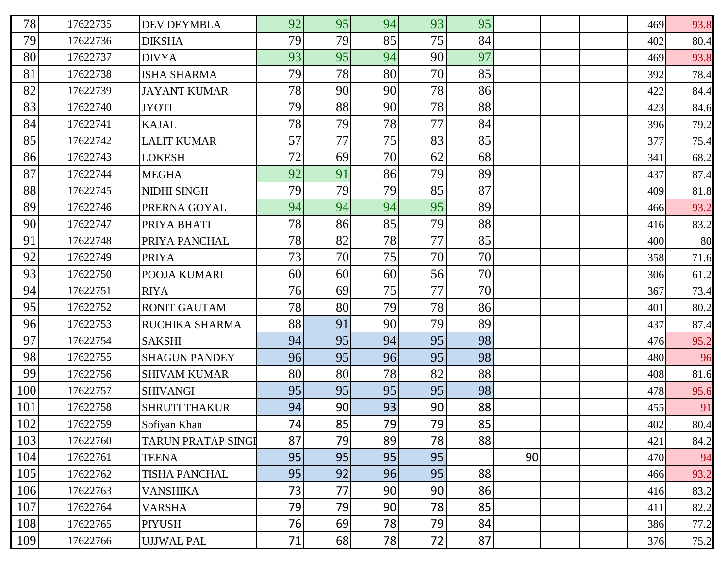| 78  | 17622735 | <b>DEV DEYMBLA</b>        | 92 | 95 | 94 | 93 | 95 |    |  | 469 | 93.8 |
|-----|----------|---------------------------|----|----|----|----|----|----|--|-----|------|
| 79  | 17622736 | <b>DIKSHA</b>             | 79 | 79 | 85 | 75 | 84 |    |  | 402 | 80.4 |
| 80  | 17622737 | <b>DIVYA</b>              | 93 | 95 | 94 | 90 | 97 |    |  | 469 | 93.8 |
| 81  | 17622738 | <b>ISHA SHARMA</b>        | 79 | 78 | 80 | 70 | 85 |    |  | 392 | 78.4 |
| 82  | 17622739 | <b>JAYANT KUMAR</b>       | 78 | 90 | 90 | 78 | 86 |    |  | 422 | 84.4 |
| 83  | 17622740 | <b>JYOTI</b>              | 79 | 88 | 90 | 78 | 88 |    |  | 423 | 84.6 |
| 84  | 17622741 | <b>KAJAL</b>              | 78 | 79 | 78 | 77 | 84 |    |  | 396 | 79.2 |
| 85  | 17622742 | <b>LALIT KUMAR</b>        | 57 | 77 | 75 | 83 | 85 |    |  | 377 | 75.4 |
| 86  | 17622743 | <b>LOKESH</b>             | 72 | 69 | 70 | 62 | 68 |    |  | 341 | 68.2 |
| 87  | 17622744 | <b>MEGHA</b>              | 92 | 91 | 86 | 79 | 89 |    |  | 437 | 87.4 |
| 88  | 17622745 | <b>NIDHI SINGH</b>        | 79 | 79 | 79 | 85 | 87 |    |  | 409 | 81.8 |
| 89  | 17622746 | PRERNA GOYAL              | 94 | 94 | 94 | 95 | 89 |    |  | 466 | 93.2 |
| 90  | 17622747 | PRIYA BHATI               | 78 | 86 | 85 | 79 | 88 |    |  | 416 | 83.2 |
| 91  | 17622748 | PRIYA PANCHAL             | 78 | 82 | 78 | 77 | 85 |    |  | 400 | 80   |
| 92  | 17622749 | <b>PRIYA</b>              | 73 | 70 | 75 | 70 | 70 |    |  | 358 | 71.6 |
| 93  | 17622750 | POOJA KUMARI              | 60 | 60 | 60 | 56 | 70 |    |  | 306 | 61.2 |
| 94  | 17622751 | <b>RIYA</b>               | 76 | 69 | 75 | 77 | 70 |    |  | 367 | 73.4 |
| 95  | 17622752 | <b>RONIT GAUTAM</b>       | 78 | 80 | 79 | 78 | 86 |    |  | 401 | 80.2 |
| 96  | 17622753 | RUCHIKA SHARMA            | 88 | 91 | 90 | 79 | 89 |    |  | 437 | 87.4 |
| 97  | 17622754 | <b>SAKSHI</b>             | 94 | 95 | 94 | 95 | 98 |    |  | 476 | 95.2 |
| 98  | 17622755 | <b>SHAGUN PANDEY</b>      | 96 | 95 | 96 | 95 | 98 |    |  | 480 | 96   |
| 99  | 17622756 | <b>SHIVAM KUMAR</b>       | 80 | 80 | 78 | 82 | 88 |    |  | 408 | 81.6 |
| 100 | 17622757 | <b>SHIVANGI</b>           | 95 | 95 | 95 | 95 | 98 |    |  | 478 | 95.6 |
| 101 | 17622758 | <b>SHRUTI THAKUR</b>      | 94 | 90 | 93 | 90 | 88 |    |  | 455 | 91   |
| 102 | 17622759 | Sofiyan Khan              | 74 | 85 | 79 | 79 | 85 |    |  | 402 | 80.4 |
| 103 | 17622760 | <b>TARUN PRATAP SINGL</b> | 87 | 79 | 89 | 78 | 88 |    |  | 421 | 84.2 |
| 104 | 17622761 | <b>TEENA</b>              | 95 | 95 | 95 | 95 |    | 90 |  | 470 | 94   |
| 105 | 17622762 | <b>TISHA PANCHAL</b>      | 95 | 92 | 96 | 95 | 88 |    |  | 466 | 93.2 |
| 106 | 17622763 | <b>VANSHIKA</b>           | 73 | 77 | 90 | 90 | 86 |    |  | 416 | 83.2 |
| 107 | 17622764 | <b>VARSHA</b>             | 79 | 79 | 90 | 78 | 85 |    |  | 411 | 82.2 |
| 108 | 17622765 | <b>PIYUSH</b>             | 76 | 69 | 78 | 79 | 84 |    |  | 386 | 77.2 |
| 109 | 17622766 | <b>UJJWAL PAL</b>         | 71 | 68 | 78 | 72 | 87 |    |  | 376 | 75.2 |